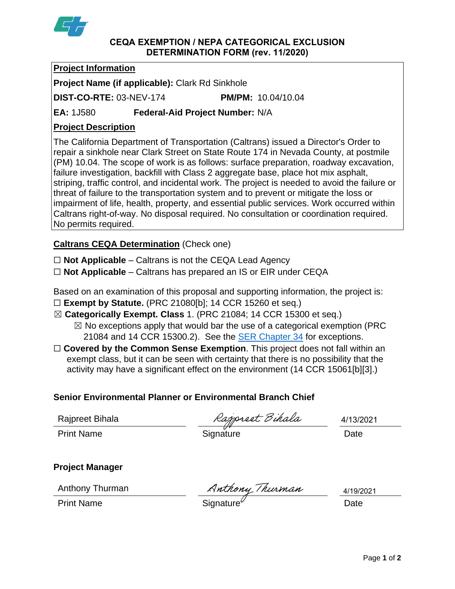

#### **CEQA EXEMPTION / NEPA CATEGORICAL EXCLUSION DETERMINATION FORM (rev. 11/2020)**

#### **Project Information**

**Project Name (if applicable):** Clark Rd Sinkhole

**DIST-CO-RTE:** 03-NEV-174 **PM/PM:** 10.04/10.04

**EA:** 1J580 **Federal-Aid Project Number:** N/A

# **Project Description**

The California Department of Transportation (Caltrans) issued a Director's Order to repair a sinkhole near Clark Street on State Route 174 in Nevada County, at postmile (PM) 10.04. The scope of work is as follows: surface preparation, roadway excavation, failure investigation, backfill with Class 2 aggregate base, place hot mix asphalt, striping, traffic control, and incidental work. The project is needed to avoid the failure or threat of failure to the transportation system and to prevent or mitigate the loss or impairment of life, health, property, and essential public services. Work occurred within Caltrans right-of-way. No disposal required. No consultation or coordination required. No permits required.

# **Caltrans CEQA Determination** (Check one)

☐ **Not Applicable** – Caltrans is not the CEQA Lead Agency

☐ **Not Applicable** – Caltrans has prepared an IS or EIR under CEQA

Based on an examination of this proposal and supporting information, the project is:

- ☐ **Exempt by Statute.** (PRC 21080[b]; 14 CCR 15260 et seq.)
- ☒ **Categorically Exempt. Class** 1. (PRC 21084; 14 CCR 15300 et seq.)

 $\boxtimes$  No exceptions apply that would bar the use of a categorical exemption (PRC) 21084 and 14 CCR 15300.2). See the [SER Chapter 34](https://dot.ca.gov/programs/environmental-analysis/standard-environmental-reference-ser/volume-1-guidance-for-compliance/ch-34-exemptions-to-ceqa#except) for exceptions.

□ **Covered by the Common Sense Exemption**. This project does not fall within an exempt class, but it can be seen with certainty that there is no possibility that the activity may have a significant effect on the environment (14 CCR 15061[b][3].)

## **Senior Environmental Planner or Environmental Branch Chief**

Rajpreet Bihala

Rajpreet Bihala Rajpreet Bihala 1/13/2<br>Print Name Signature Date

4/13/2021

## **Project Manager**

Anthony Thurman

Anthony Thurman Anthony Thurman 1/19/20<br>Print Name Date

4/19/2021